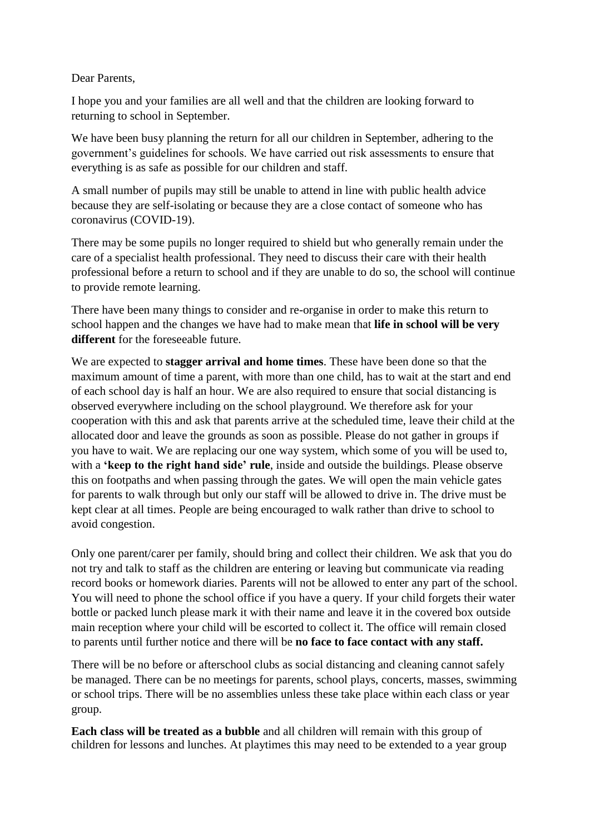Dear Parents,

I hope you and your families are all well and that the children are looking forward to returning to school in September.

We have been busy planning the return for all our children in September, adhering to the government's guidelines for schools. We have carried out risk assessments to ensure that everything is as safe as possible for our children and staff.

A small number of pupils may still be unable to attend in line with public health advice because they are self-isolating or because they are a close contact of someone who has coronavirus (COVID-19).

There may be some pupils no longer required to shield but who generally remain under the care of a specialist health professional. They need to discuss their care with their health professional before a return to school and if they are unable to do so, the school will continue to provide remote learning.

There have been many things to consider and re-organise in order to make this return to school happen and the changes we have had to make mean that **life in school will be very different** for the foreseeable future.

We are expected to **stagger arrival and home times**. These have been done so that the maximum amount of time a parent, with more than one child, has to wait at the start and end of each school day is half an hour. We are also required to ensure that social distancing is observed everywhere including on the school playground. We therefore ask for your cooperation with this and ask that parents arrive at the scheduled time, leave their child at the allocated door and leave the grounds as soon as possible. Please do not gather in groups if you have to wait. We are replacing our one way system, which some of you will be used to, with a **'keep to the right hand side' rule**, inside and outside the buildings. Please observe this on footpaths and when passing through the gates. We will open the main vehicle gates for parents to walk through but only our staff will be allowed to drive in. The drive must be kept clear at all times. People are being encouraged to walk rather than drive to school to avoid congestion.

Only one parent/carer per family, should bring and collect their children. We ask that you do not try and talk to staff as the children are entering or leaving but communicate via reading record books or homework diaries. Parents will not be allowed to enter any part of the school. You will need to phone the school office if you have a query. If your child forgets their water bottle or packed lunch please mark it with their name and leave it in the covered box outside main reception where your child will be escorted to collect it. The office will remain closed to parents until further notice and there will be **no face to face contact with any staff.**

There will be no before or afterschool clubs as social distancing and cleaning cannot safely be managed. There can be no meetings for parents, school plays, concerts, masses, swimming or school trips. There will be no assemblies unless these take place within each class or year group.

**Each class will be treated as a bubble** and all children will remain with this group of children for lessons and lunches. At playtimes this may need to be extended to a year group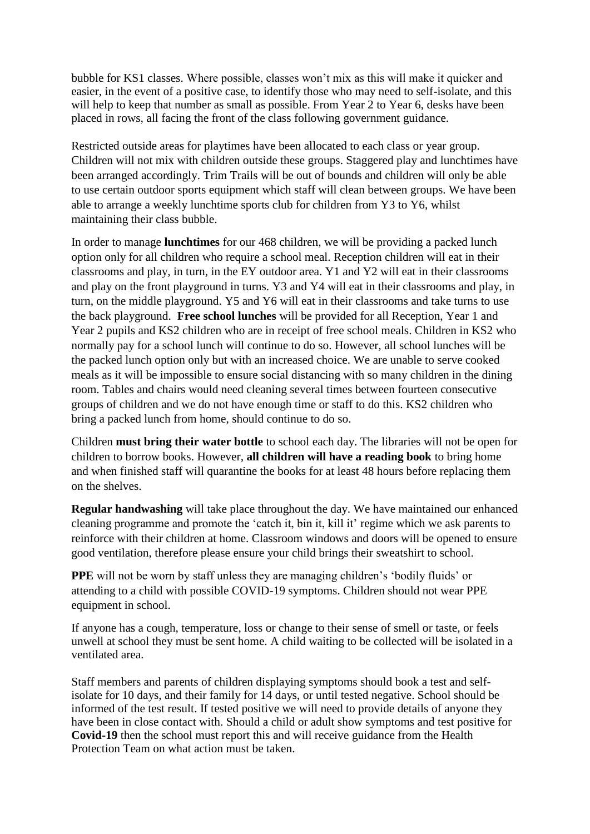bubble for KS1 classes. Where possible, classes won't mix as this will make it quicker and easier, in the event of a positive case, to identify those who may need to self-isolate, and this will help to keep that number as small as possible. From Year 2 to Year 6, desks have been placed in rows, all facing the front of the class following government guidance.

Restricted outside areas for playtimes have been allocated to each class or year group. Children will not mix with children outside these groups. Staggered play and lunchtimes have been arranged accordingly. Trim Trails will be out of bounds and children will only be able to use certain outdoor sports equipment which staff will clean between groups. We have been able to arrange a weekly lunchtime sports club for children from Y3 to Y6, whilst maintaining their class bubble.

In order to manage **lunchtimes** for our 468 children, we will be providing a packed lunch option only for all children who require a school meal. Reception children will eat in their classrooms and play, in turn, in the EY outdoor area. Y1 and Y2 will eat in their classrooms and play on the front playground in turns. Y3 and Y4 will eat in their classrooms and play, in turn, on the middle playground. Y5 and Y6 will eat in their classrooms and take turns to use the back playground. **Free school lunches** will be provided for all Reception, Year 1 and Year 2 pupils and KS2 children who are in receipt of free school meals. Children in KS2 who normally pay for a school lunch will continue to do so. However, all school lunches will be the packed lunch option only but with an increased choice. We are unable to serve cooked meals as it will be impossible to ensure social distancing with so many children in the dining room. Tables and chairs would need cleaning several times between fourteen consecutive groups of children and we do not have enough time or staff to do this. KS2 children who bring a packed lunch from home, should continue to do so.

Children **must bring their water bottle** to school each day. The libraries will not be open for children to borrow books. However, **all children will have a reading book** to bring home and when finished staff will quarantine the books for at least 48 hours before replacing them on the shelves.

**Regular handwashing** will take place throughout the day. We have maintained our enhanced cleaning programme and promote the 'catch it, bin it, kill it' regime which we ask parents to reinforce with their children at home. Classroom windows and doors will be opened to ensure good ventilation, therefore please ensure your child brings their sweatshirt to school.

**PPE** will not be worn by staff unless they are managing children's 'bodily fluids' or attending to a child with possible COVID-19 symptoms. Children should not wear PPE equipment in school.

If anyone has a cough, temperature, loss or change to their sense of smell or taste, or feels unwell at school they must be sent home. A child waiting to be collected will be isolated in a ventilated area.

Staff members and parents of children displaying symptoms should book a test and selfisolate for 10 days, and their family for 14 days, or until tested negative. School should be informed of the test result. If tested positive we will need to provide details of anyone they have been in close contact with. Should a child or adult show symptoms and test positive for **Covid-19** then the school must report this and will receive guidance from the Health Protection Team on what action must be taken.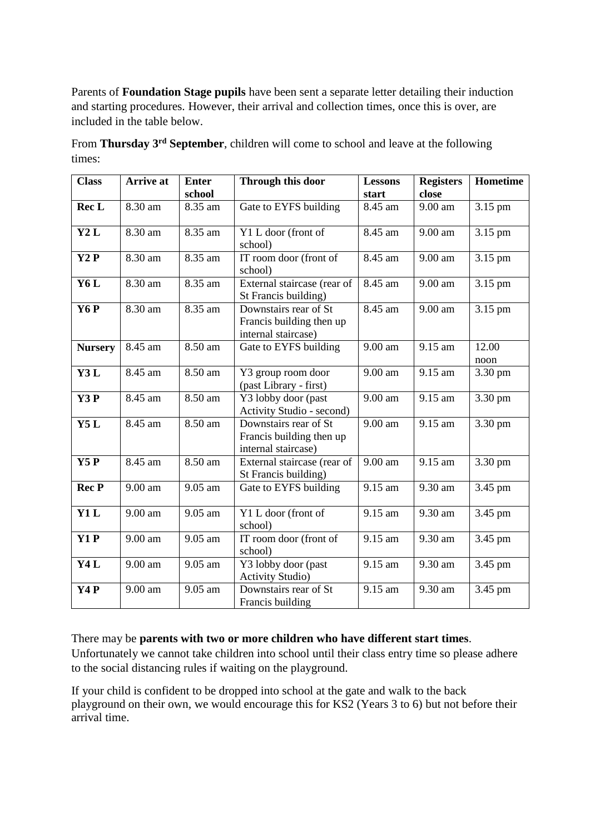Parents of **Foundation Stage pupils** have been sent a separate letter detailing their induction and starting procedures. However, their arrival and collection times, once this is over, are included in the table below.

From **Thursday 3rd September**, children will come to school and leave at the following times:

| <b>Class</b>     | <b>Arrive</b> at     | <b>Enter</b> | Through this door                                                        | <b>Lessons</b> | <b>Registers</b>     | Hometime      |
|------------------|----------------------|--------------|--------------------------------------------------------------------------|----------------|----------------------|---------------|
|                  |                      | school       |                                                                          | start          | close                |               |
| Rec <sub>L</sub> | 8.30 am              | 8.35 am      | Gate to EYFS building                                                    | 8.45 am        | 9.00 am              | 3.15 pm       |
| Y2L              | 8.30 am              | 8.35 am      | Y1 L door (front of<br>school)                                           | 8.45 am        | 9.00 am              | 3.15 pm       |
| Y2P              | 8.30 am              | 8.35 am      | IT room door (front of<br>school)                                        | 8.45 am        | 9.00 am              | 3.15 pm       |
| Y6L              | 8.30 am              | 8.35 am      | External staircase (rear of<br>St Francis building)                      | 8.45 am        | 9.00 am              | 3.15 pm       |
| Y <sub>6</sub> P | 8.30 am              | 8.35 am      | Downstairs rear of St<br>Francis building then up<br>internal staircase) | 8.45 am        | 9.00 am              | 3.15 pm       |
| <b>Nursery</b>   | 8.45 am              | 8.50 am      | Gate to EYFS building                                                    | 9.00 am        | 9.15 am              | 12.00<br>noon |
| Y3L              | 8.45 am              | 8.50 am      | Y3 group room door<br>(past Library - first)                             | 9.00 am        | 9.15 am              | 3.30 pm       |
| Y3P              | 8.45 am              | 8.50 am      | Y3 lobby door (past<br>Activity Studio - second)                         | 9.00 am        | 9.15 am              | 3.30 pm       |
| Y5L              | $\overline{8.45}$ am | 8.50 am      | Downstairs rear of St<br>Francis building then up<br>internal staircase) | 9.00 am        | $\overline{9.15}$ am | 3.30 pm       |
| Y5P              | 8.45 am              | 8.50 am      | External staircase (rear of<br>St Francis building)                      | 9.00 am        | 9.15 am              | 3.30 pm       |
| <b>Rec P</b>     | 9.00 am              | 9.05 am      | Gate to EYFS building                                                    | 9.15 am        | 9.30 am              | 3.45 pm       |
| Y1L              | 9.00 am              | 9.05 am      | Y1 L door (front of<br>school)                                           | 9.15 am        | 9.30 am              | 3.45 pm       |
| Y1P              | 9.00 am              | 9.05 am      | IT room door (front of<br>school)                                        | 9.15 am        | 9.30 am              | 3.45 pm       |
| Y4L              | 9.00 am              | 9.05 am      | Y3 lobby door (past<br><b>Activity Studio</b> )                          | 9.15 am        | 9.30 am              | 3.45 pm       |
| Y <sub>4</sub> P | 9.00 am              | 9.05 am      | Downstairs rear of St<br>Francis building                                | 9.15 am        | 9.30 am              | 3.45 pm       |

There may be **parents with two or more children who have different start times**. Unfortunately we cannot take children into school until their class entry time so please adhere to the social distancing rules if waiting on the playground.

If your child is confident to be dropped into school at the gate and walk to the back playground on their own, we would encourage this for KS2 (Years 3 to 6) but not before their arrival time.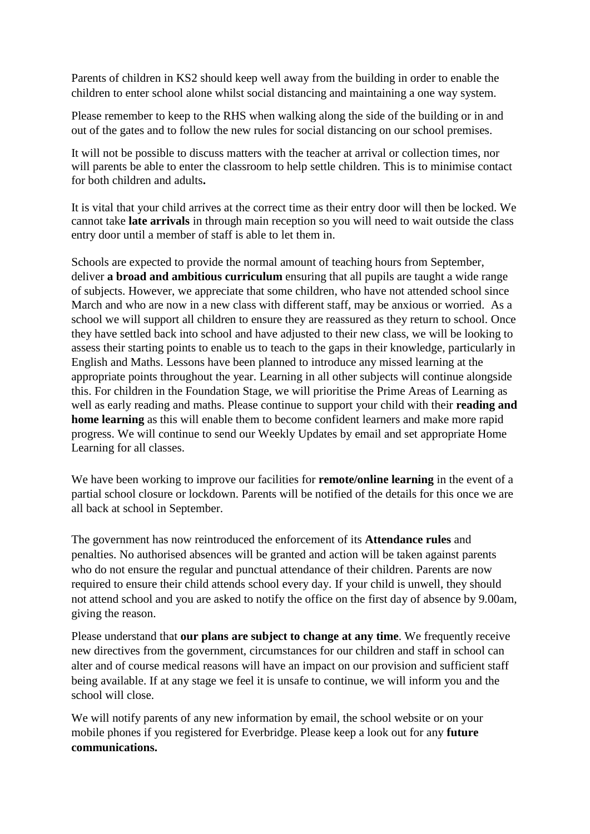Parents of children in KS2 should keep well away from the building in order to enable the children to enter school alone whilst social distancing and maintaining a one way system.

Please remember to keep to the RHS when walking along the side of the building or in and out of the gates and to follow the new rules for social distancing on our school premises.

It will not be possible to discuss matters with the teacher at arrival or collection times, nor will parents be able to enter the classroom to help settle children. This is to minimise contact for both children and adults**.**

It is vital that your child arrives at the correct time as their entry door will then be locked. We cannot take **late arrivals** in through main reception so you will need to wait outside the class entry door until a member of staff is able to let them in.

Schools are expected to provide the normal amount of teaching hours from September, deliver **a broad and ambitious curriculum** ensuring that all pupils are taught a wide range of subjects. However, we appreciate that some children, who have not attended school since March and who are now in a new class with different staff, may be anxious or worried. As a school we will support all children to ensure they are reassured as they return to school. Once they have settled back into school and have adjusted to their new class, we will be looking to assess their starting points to enable us to teach to the gaps in their knowledge, particularly in English and Maths. Lessons have been planned to introduce any missed learning at the appropriate points throughout the year. Learning in all other subjects will continue alongside this. For children in the Foundation Stage, we will prioritise the Prime Areas of Learning as well as early reading and maths. Please continue to support your child with their **reading and home learning** as this will enable them to become confident learners and make more rapid progress. We will continue to send our Weekly Updates by email and set appropriate Home Learning for all classes.

We have been working to improve our facilities for **remote/online learning** in the event of a partial school closure or lockdown. Parents will be notified of the details for this once we are all back at school in September.

The government has now reintroduced the enforcement of its **Attendance rules** and penalties. No authorised absences will be granted and action will be taken against parents who do not ensure the regular and punctual attendance of their children. Parents are now required to ensure their child attends school every day. If your child is unwell, they should not attend school and you are asked to notify the office on the first day of absence by 9.00am, giving the reason.

Please understand that **our plans are subject to change at any time**. We frequently receive new directives from the government, circumstances for our children and staff in school can alter and of course medical reasons will have an impact on our provision and sufficient staff being available. If at any stage we feel it is unsafe to continue, we will inform you and the school will close.

We will notify parents of any new information by email, the school website or on your mobile phones if you registered for Everbridge. Please keep a look out for any **future communications.**